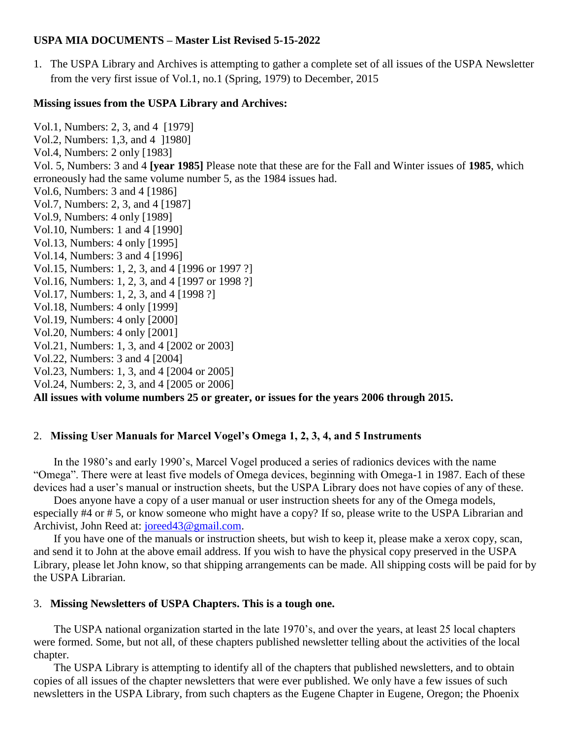## **USPA MIA DOCUMENTS – Master List Revised 5-15-2022**

1. The USPA Library and Archives is attempting to gather a complete set of all issues of the USPA Newsletter from the very first issue of Vol.1, no.1 (Spring, 1979) to December, 2015

## **Missing issues from the USPA Library and Archives:**

Vol.1, Numbers: 2, 3, and 4 [1979] Vol.2, Numbers: 1,3, and 4 ]1980] Vol.4, Numbers: 2 only [1983] Vol. 5, Numbers: 3 and 4 **[year 1985]** Please note that these are for the Fall and Winter issues of **1985**, which erroneously had the same volume number 5, as the 1984 issues had. Vol.6, Numbers: 3 and 4 [1986] Vol.7, Numbers: 2, 3, and 4 [1987] Vol.9, Numbers: 4 only [1989] Vol.10, Numbers: 1 and 4 [1990] Vol.13, Numbers: 4 only [1995] Vol.14, Numbers: 3 and 4 [1996] Vol.15, Numbers: 1, 2, 3, and 4 [1996 or 1997 ?] Vol.16, Numbers: 1, 2, 3, and 4 [1997 or 1998 ?] Vol.17, Numbers: 1, 2, 3, and 4 [1998 ?] Vol.18, Numbers: 4 only [1999] Vol.19, Numbers: 4 only [2000] Vol.20, Numbers: 4 only [2001] Vol.21, Numbers: 1, 3, and 4 [2002 or 2003] Vol.22, Numbers: 3 and 4 [2004] Vol.23, Numbers: 1, 3, and 4 [2004 or 2005] Vol.24, Numbers: 2, 3, and 4 [2005 or 2006]

**All issues with volume numbers 25 or greater, or issues for the years 2006 through 2015.**

## 2. **Missing User Manuals for Marcel Vogel's Omega 1, 2, 3, 4, and 5 Instruments**

In the 1980's and early 1990's, Marcel Vogel produced a series of radionics devices with the name "Omega". There were at least five models of Omega devices, beginning with Omega-1 in 1987. Each of these devices had a user's manual or instruction sheets, but the USPA Library does not have copies of any of these.

Does anyone have a copy of a user manual or user instruction sheets for any of the Omega models, especially #4 or # 5, or know someone who might have a copy? If so, please write to the USPA Librarian and Archivist, John Reed at: joreed 43@gmail.com.

If you have one of the manuals or instruction sheets, but wish to keep it, please make a xerox copy, scan, and send it to John at the above email address. If you wish to have the physical copy preserved in the USPA Library, please let John know, so that shipping arrangements can be made. All shipping costs will be paid for by the USPA Librarian.

## 3. **Missing Newsletters of USPA Chapters. This is a tough one.**

The USPA national organization started in the late 1970's, and over the years, at least 25 local chapters were formed. Some, but not all, of these chapters published newsletter telling about the activities of the local chapter.

The USPA Library is attempting to identify all of the chapters that published newsletters, and to obtain copies of all issues of the chapter newsletters that were ever published. We only have a few issues of such newsletters in the USPA Library, from such chapters as the Eugene Chapter in Eugene, Oregon; the Phoenix